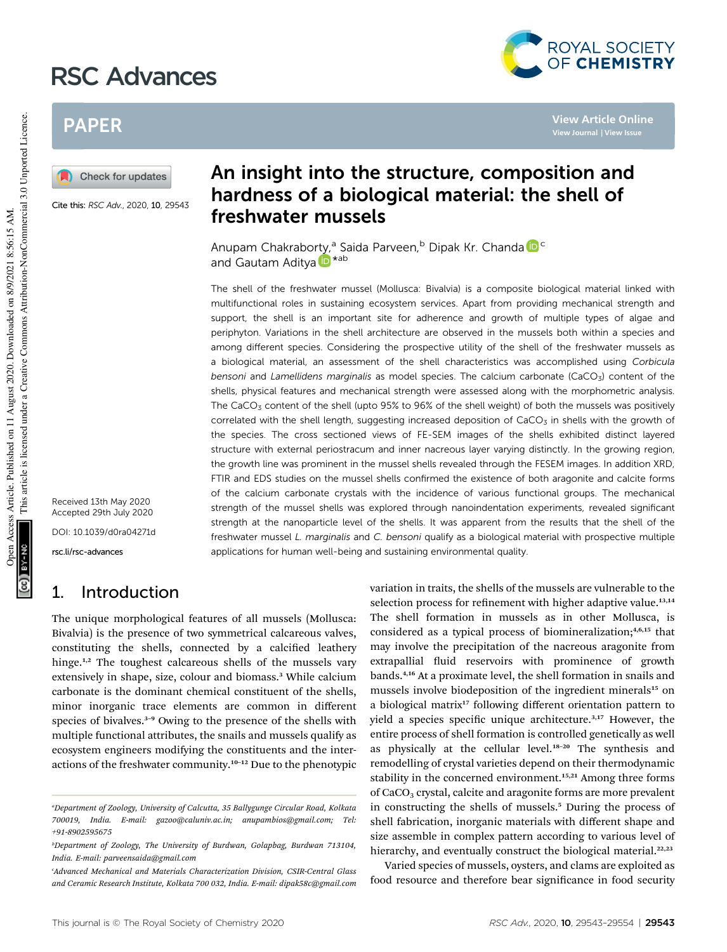# RSC Advances



**View Article Online View Journal | View Issue**

## PAPER

Check for updates

Cite this: RSC Adv., 2020, 10, 29543

## An insight into the structure, composition and hardness of a biological material: the shell of freshwater mussels

Anupam Chakraborty,<sup>a</sup> Saida Parveen,<sup>b</sup> Dipak Kr. Chanda D<sup>e</sup> and Gautam Aditya D<sup>\*ab</sup>

The shell of the freshwater mussel (Mollusca: Bivalvia) is a composite biological material linked with multifunctional roles in sustaining ecosystem services. Apart from providing mechanical strength and support, the shell is an important site for adherence and growth of multiple types of algae and periphyton. Variations in the shell architecture are observed in the mussels both within a species and among different species. Considering the prospective utility of the shell of the freshwater mussels as a biological material, an assessment of the shell characteristics was accomplished using Corbicula bensoni and Lamellidens marginalis as model species. The calcium carbonate (CaCO<sub>3</sub>) content of the shells, physical features and mechanical strength were assessed along with the morphometric analysis. The CaCO<sub>3</sub> content of the shell (upto 95% to 96% of the shell weight) of both the mussels was positively correlated with the shell length, suggesting increased deposition of  $CaCO<sub>3</sub>$  in shells with the growth of the species. The cross sectioned views of FE-SEM images of the shells exhibited distinct layered structure with external periostracum and inner nacreous layer varying distinctly. In the growing region, the growth line was prominent in the mussel shells revealed through the FESEM images. In addition XRD, FTIR and EDS studies on the mussel shells confirmed the existence of both aragonite and calcite forms of the calcium carbonate crystals with the incidence of various functional groups. The mechanical strength of the mussel shells was explored through nanoindentation experiments, revealed significant strength at the nanoparticle level of the shells. It was apparent from the results that the shell of the freshwater mussel L. marginalis and C. bensoni qualify as a biological material with prospective multiple applications for human well-being and sustaining environmental quality.

Received 13th May 2020 Accepted 29th July 2020 DOI: 10.1039/d0ra04271d

rsc.li/rsc-advances

### 1. Introduction

The unique morphological features of all mussels (Mollusca: Bivalvia) is the presence of two symmetrical calcareous valves, constituting the shells, connected by a calcified leathery hinge.<sup>1,2</sup> The toughest calcareous shells of the mussels vary extensively in shape, size, colour and biomass.<sup>3</sup> While calcium carbonate is the dominant chemical constituent of the shells, minor inorganic trace elements are common in different species of bivalves.<sup>3-9</sup> Owing to the presence of the shells with multiple functional attributes, the snails and mussels qualify as ecosystem engineers modifying the constituents and the interactions of the freshwater community.<sup>10</sup>–<sup>12</sup> Due to the phenotypic

variation in traits, the shells of the mussels are vulnerable to the selection process for refinement with higher adaptive value.<sup>13,14</sup> The shell formation in mussels as in other Mollusca, is considered as a typical process of biomineralization;<sup>4,6,15</sup> that may involve the precipitation of the nacreous aragonite from extrapallial fluid reservoirs with prominence of growth bands.4,16 At a proximate level, the shell formation in snails and mussels involve biodeposition of the ingredient minerals<sup>15</sup> on a biological matrix<sup>17</sup> following different orientation pattern to yield a species specific unique architecture.<sup>3,17</sup> However, the entire process of shell formation is controlled genetically as well as physically at the cellular level.<sup>18-20</sup> The synthesis and remodelling of crystal varieties depend on their thermodynamic stability in the concerned environment.<sup>15,21</sup> Among three forms of CaCO<sub>3</sub> crystal, calcite and aragonite forms are more prevalent in constructing the shells of mussels.<sup>5</sup> During the process of shell fabrication, inorganic materials with different shape and size assemble in complex pattern according to various level of hierarchy, and eventually construct the biological material.<sup>22,23</sup>

Varied species of mussels, oysters, and clams are exploited as food resource and therefore bear significance in food security

*<sup>a</sup>Department of Zoology, University of Calcutta, 35 Ballygunge Circular Road, Kolkata 700019, India. E-mail: gazoo@caluniv.ac.in; anupambios@gmail.com; Tel: +91-8902595675*

*<sup>b</sup>Department of Zoology, The University of Burdwan, Golapbag, Burdwan 713104, India. E-mail: parveensaida@gmail.com*

*<sup>c</sup>Advanced Mechanical and Materials Characterization Division, CSIR-Central Glass and Ceramic Research Institute, Kolkata 700 032, India. E-mail: dipak58c@gmail.com*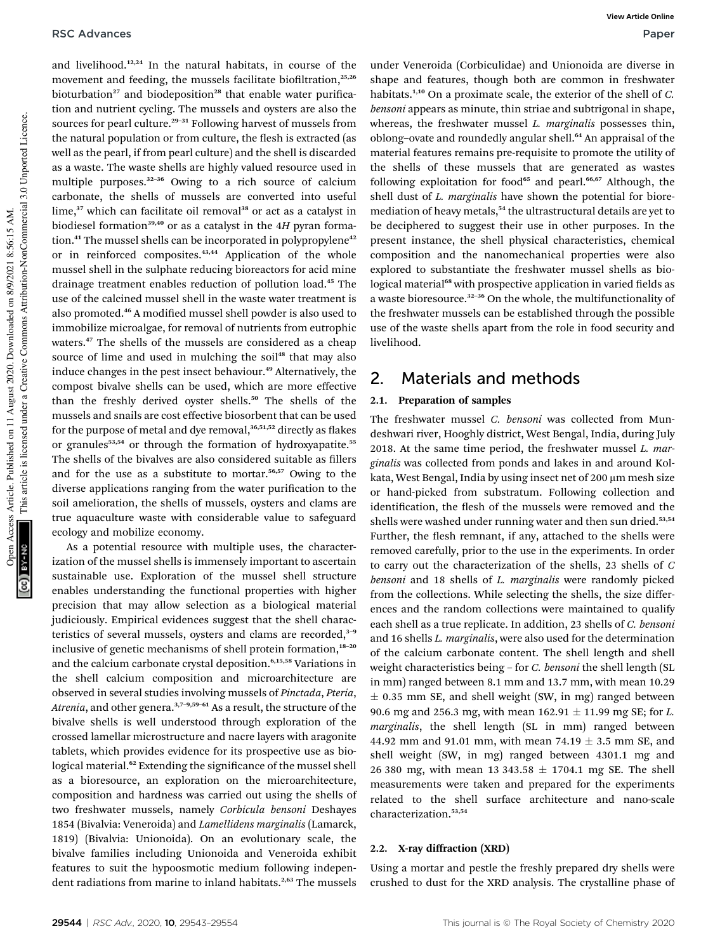and livelihood.12,24 In the natural habitats, in course of the movement and feeding, the mussels facilitate biofiltration,<sup>25,26</sup> bioturbation<sup>27</sup> and biodeposition<sup>28</sup> that enable water purification and nutrient cycling. The mussels and oysters are also the sources for pearl culture.<sup>29-31</sup> Following harvest of mussels from the natural population or from culture, the flesh is extracted (as well as the pearl, if from pearl culture) and the shell is discarded as a waste. The waste shells are highly valued resource used in multiple purposes.<sup>32-36</sup> Owing to a rich source of calcium carbonate, the shells of mussels are converted into useful lime,<sup>37</sup> which can facilitate oil removal<sup>38</sup> or act as a catalyst in biodiesel formation<sup>39,40</sup> or as a catalyst in the 4H pyran formation.<sup>41</sup> The mussel shells can be incorporated in polypropylene<sup>42</sup> or in reinforced composites.<sup>43,44</sup> Application of the whole mussel shell in the sulphate reducing bioreactors for acid mine drainage treatment enables reduction of pollution load.<sup>45</sup> The use of the calcined mussel shell in the waste water treatment is also promoted.<sup>46</sup> A modified mussel shell powder is also used to immobilize microalgae, for removal of nutrients from eutrophic waters.<sup>47</sup> The shells of the mussels are considered as a cheap source of lime and used in mulching the soil<sup>48</sup> that may also induce changes in the pest insect behaviour.<sup>49</sup> Alternatively, the compost bivalve shells can be used, which are more effective than the freshly derived oyster shells.<sup>50</sup> The shells of the mussels and snails are cost effective biosorbent that can be used for the purpose of metal and dye removal, $36,51,52$  directly as flakes or granules<sup>53,54</sup> or through the formation of hydroxyapatite.<sup>55</sup> The shells of the bivalves are also considered suitable as fillers and for the use as a substitute to mortar.56,57 Owing to the diverse applications ranging from the water purification to the soil amelioration, the shells of mussels, oysters and clams are true aquaculture waste with considerable value to safeguard ecology and mobilize economy.

As a potential resource with multiple uses, the characterization of the mussel shells is immensely important to ascertain sustainable use. Exploration of the mussel shell structure enables understanding the functional properties with higher precision that may allow selection as a biological material judiciously. Empirical evidences suggest that the shell characteristics of several mussels, oysters and clams are recorded, $3-9$ inclusive of genetic mechanisms of shell protein formation,<sup>18-20</sup> and the calcium carbonate crystal deposition.<sup>6,15,58</sup> Variations in the shell calcium composition and microarchitecture are observed in several studies involving mussels of *Pinctada*, *Pteria*, Atrenia, and other genera.<sup>3,7-9,59-61</sup> As a result, the structure of the bivalve shells is well understood through exploration of the crossed lamellar microstructure and nacre layers with aragonite tablets, which provides evidence for its prospective use as biological material.<sup>62</sup> Extending the significance of the mussel shell as a bioresource, an exploration on the microarchitecture, composition and hardness was carried out using the shells of two freshwater mussels, namely *Corbicula bensoni* Deshayes 1854 (Bivalvia: Veneroida) and *Lamellidens marginalis* (Lamarck, 1819) (Bivalvia: Unionoida). On an evolutionary scale, the bivalve families including Unionoida and Veneroida exhibit features to suit the hypoosmotic medium following independent radiations from marine to inland habitats.<sup>2,63</sup> The mussels

under Veneroida (Corbiculidae) and Unionoida are diverse in shape and features, though both are common in freshwater habitats.1,10 On a proximate scale, the exterior of the shell of *C. bensoni* appears as minute, thin striae and subtrigonal in shape, whereas, the freshwater mussel *L. marginalis* possesses thin, oblong-ovate and roundedly angular shell.<sup>64</sup> An appraisal of the material features remains pre-requisite to promote the utility of the shells of these mussels that are generated as wastes following exploitation for food<sup>65</sup> and pearl.<sup>66,67</sup> Although, the shell dust of *L. marginalis* have shown the potential for bioremediation of heavy metals,<sup>54</sup> the ultrastructural details are yet to be deciphered to suggest their use in other purposes. In the present instance, the shell physical characteristics, chemical composition and the nanomechanical properties were also explored to substantiate the freshwater mussel shells as biological material<sup>68</sup> with prospective application in varied fields as a waste bioresource.<sup>32</sup>–<sup>36</sup> On the whole, the multifunctionality of the freshwater mussels can be established through the possible use of the waste shells apart from the role in food security and livelihood.

### 2. Materials and methods

### 2.1. Preparation of samples

The freshwater mussel *C. bensoni* was collected from Mundeshwari river, Hooghly district, West Bengal, India, during July 2018. At the same time period, the freshwater mussel *L. marginalis* was collected from ponds and lakes in and around Kolkata, West Bengal, India by using insect net of 200 µm mesh size or hand-picked from substratum. Following collection and identification, the flesh of the mussels were removed and the shells were washed under running water and then sun dried.<sup>53,54</sup> Further, the flesh remnant, if any, attached to the shells were removed carefully, prior to the use in the experiments. In order to carry out the characterization of the shells, 23 shells of *C bensoni* and 18 shells of *L. marginalis* were randomly picked from the collections. While selecting the shells, the size differences and the random collections were maintained to qualify each shell as a true replicate. In addition, 23 shells of *C. bensoni* and 16 shells *L. marginalis*, were also used for the determination of the calcium carbonate content. The shell length and shell weight characteristics being – for *C. bensoni* the shell length (SL in mm) ranged between 8.1 mm and 13.7 mm, with mean 10.29  $\pm$  0.35 mm SE, and shell weight (SW, in mg) ranged between 90.6 mg and 256.3 mg, with mean  $162.91 \pm 11.99$  mg SE; for *L*. *marginalis*, the shell length (SL in mm) ranged between 44.92 mm and 91.01 mm, with mean 74.19  $\pm$  3.5 mm SE, and shell weight (SW, in mg) ranged between 4301.1 mg and 26 380 mg, with mean 13 343.58  $\pm$  1704.1 mg SE. The shell measurements were taken and prepared for the experiments related to the shell surface architecture and nano-scale characterization.53,54

#### 2.2. X-ray diffraction (XRD)

Using a mortar and pestle the freshly prepared dry shells were crushed to dust for the XRD analysis. The crystalline phase of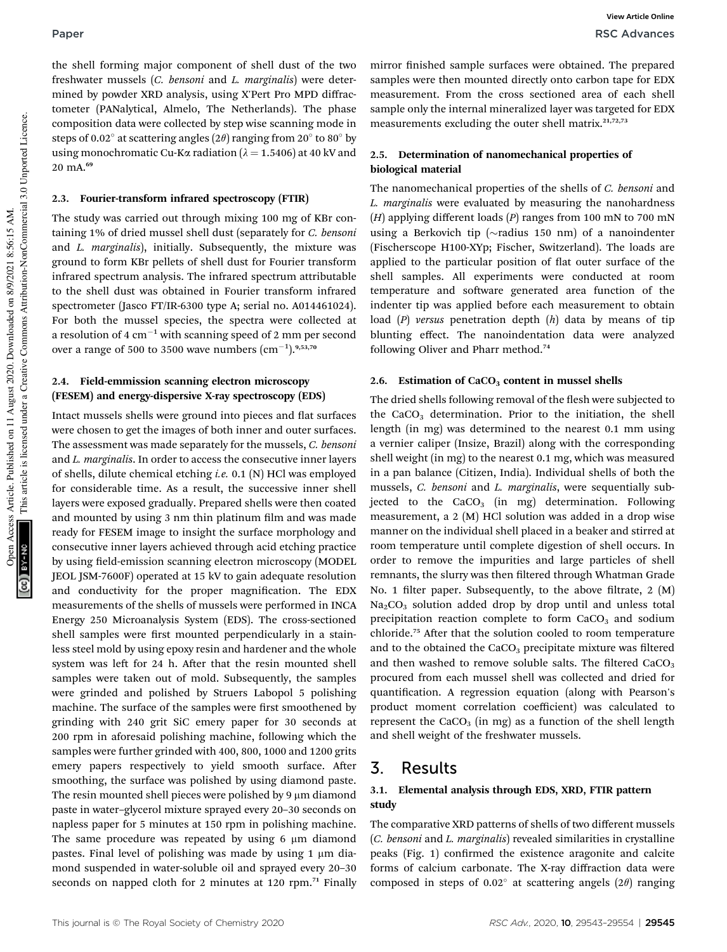the shell forming major component of shell dust of the two freshwater mussels (*C. bensoni* and *L. marginalis*) were determined by powder XRD analysis, using X'Pert Pro MPD diffractometer (PANalytical, Almelo, The Netherlands). The phase composition data were collected by step wise scanning mode in steps of 0.02 $^{\circ}$  at scattering angles (2 $\theta$ ) ranging from 20 $^{\circ}$  to 80 $^{\circ}$  by using monochromatic Cu-K $\alpha$  radiation ( $\lambda = 1.5406$ ) at 40 kV and 20 mA.<sup>69</sup>

#### 2.3. Fourier-transform infrared spectroscopy (FTIR)

The study was carried out through mixing 100 mg of KBr containing 1% of dried mussel shell dust (separately for *C. bensoni* and *L. marginalis*), initially. Subsequently, the mixture was ground to form KBr pellets of shell dust for Fourier transform infrared spectrum analysis. The infrared spectrum attributable to the shell dust was obtained in Fourier transform infrared spectrometer (Jasco FT/IR-6300 type A; serial no. A014461024). For both the mussel species, the spectra were collected at a resolution of 4  $cm^{-1}$  with scanning speed of 2 mm per second over a range of 500 to 3500 wave numbers  $\text{ (cm}^{-1)}$ .<sup>9,53,70</sup>

#### 2.4. Field-emmission scanning electron microscopy (FESEM) and energy-dispersive X-ray spectroscopy (EDS)

Intact mussels shells were ground into pieces and flat surfaces were chosen to get the images of both inner and outer surfaces. The assessment was made separately for the mussels, *C. bensoni* and *L. marginalis*. In order to access the consecutive inner layers of shells, dilute chemical etching *i.e.* 0.1 (N) HCl was employed for considerable time. As a result, the successive inner shell layers were exposed gradually. Prepared shells were then coated and mounted by using 3 nm thin platinum film and was made ready for FESEM image to insight the surface morphology and consecutive inner layers achieved through acid etching practice by using field-emission scanning electron microscopy (MODEL JEOL JSM-7600F) operated at 15 kV to gain adequate resolution and conductivity for the proper magnification. The EDX measurements of the shells of mussels were performed in INCA Energy 250 Microanalysis System (EDS). The cross-sectioned shell samples were first mounted perpendicularly in a stainless steel mold by using epoxy resin and hardener and the whole system was left for 24 h. After that the resin mounted shell samples were taken out of mold. Subsequently, the samples were grinded and polished by Struers Labopol 5 polishing machine. The surface of the samples were first smoothened by grinding with 240 grit SiC emery paper for 30 seconds at 200 rpm in aforesaid polishing machine, following which the samples were further grinded with 400, 800, 1000 and 1200 grits emery papers respectively to yield smooth surface. After smoothing, the surface was polished by using diamond paste. The resin mounted shell pieces were polished by 9  $\mu$ m diamond paste in water–glycerol mixture sprayed every 20–30 seconds on napless paper for 5 minutes at 150 rpm in polishing machine. The same procedure was repeated by using  $6 \mu m$  diamond pastes. Final level of polishing was made by using  $1 \mu m$  diamond suspended in water-soluble oil and sprayed every 20–30 seconds on napped cloth for 2 minutes at 120 rpm.<sup>71</sup> Finally

mirror finished sample surfaces were obtained. The prepared samples were then mounted directly onto carbon tape for EDX measurement. From the cross sectioned area of each shell sample only the internal mineralized layer was targeted for EDX measurements excluding the outer shell matrix.<sup>21,72,73</sup>

### 2.5. Determination of nanomechanical properties of biological material

The nanomechanical properties of the shells of *C. bensoni* and *L. marginalis* were evaluated by measuring the nanohardness (*H*) applying different loads (*P*) ranges from 100 mN to 700 mN using a Berkovich tip ( $\sim$ radius 150 nm) of a nanoindenter (Fischerscope H100-XYp; Fischer, Switzerland). The loads are applied to the particular position of flat outer surface of the shell samples. All experiments were conducted at room temperature and software generated area function of the indenter tip was applied before each measurement to obtain load (*P*) *versus* penetration depth (*h*) data by means of tip blunting effect. The nanoindentation data were analyzed following Oliver and Pharr method.<sup>74</sup>

#### 2.6. Estimation of  $CaCO<sub>3</sub>$  content in mussel shells

The dried shells following removal of the flesh were subjected to the  $CaCO<sub>3</sub>$  determination. Prior to the initiation, the shell length (in mg) was determined to the nearest 0.1 mm using a vernier caliper (Insize, Brazil) along with the corresponding shell weight (in mg) to the nearest 0.1 mg, which was measured in a pan balance (Citizen, India). Individual shells of both the mussels, *C. bensoni* and *L. marginalis*, were sequentially subjected to the  $CaCO<sub>3</sub>$  (in mg) determination. Following measurement, a 2 (M) HCl solution was added in a drop wise manner on the individual shell placed in a beaker and stirred at room temperature until complete digestion of shell occurs. In order to remove the impurities and large particles of shell remnants, the slurry was then filtered through Whatman Grade No. 1 filter paper. Subsequently, to the above filtrate,  $2 \text{ (M)}$  $Na<sub>2</sub>CO<sub>3</sub>$  solution added drop by drop until and unless total precipitation reaction complete to form  $CaCO<sub>3</sub>$  and sodium chloride.<sup>75</sup> After that the solution cooled to room temperature and to the obtained the  $CaCO<sub>3</sub>$  precipitate mixture was filtered and then washed to remove soluble salts. The filtered  $CaCO<sub>3</sub>$ procured from each mussel shell was collected and dried for quantification. A regression equation (along with Pearson's product moment correlation coefficient) was calculated to represent the  $CaCO<sub>3</sub>$  (in mg) as a function of the shell length and shell weight of the freshwater mussels.

### 3. Results

### 3.1. Elemental analysis through EDS, XRD, FTIR pattern study

The comparative XRD patterns of shells of two different mussels (*C. bensoni* and *L. marginalis*) revealed similarities in crystalline peaks (Fig. 1) confirmed the existence aragonite and calcite forms of calcium carbonate. The X-ray diffraction data were composed in steps of 0.02 $^{\circ}$  at scattering angels (2 $\theta$ ) ranging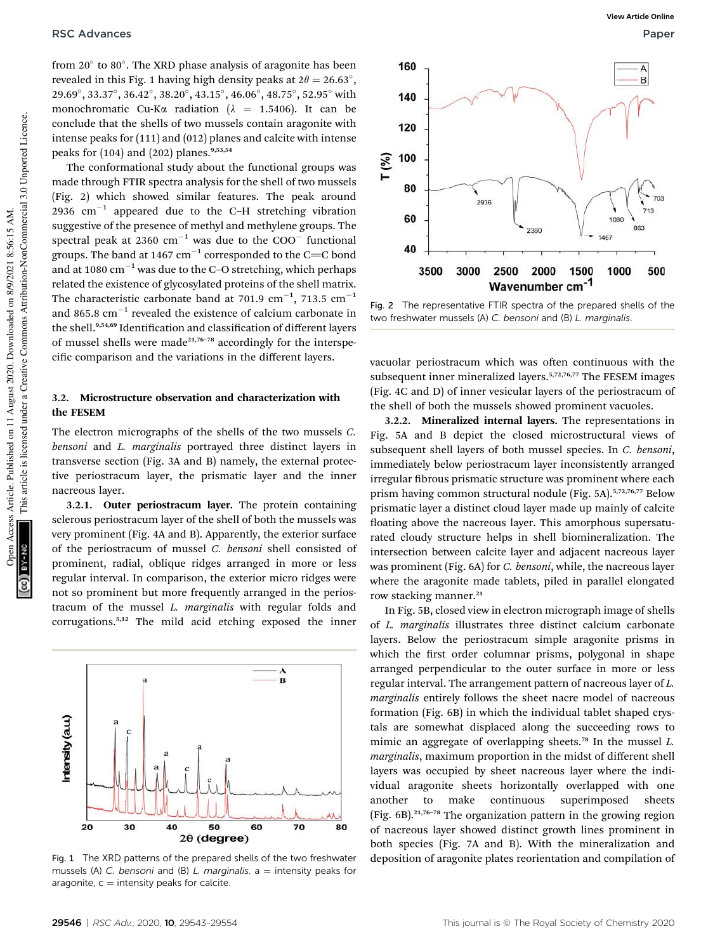from 20° to 80°. The XRD phase analysis of aragonite has been revealed in this Fig. 1 having high density peaks at  $2\theta = 26.63^{\circ}$ ,  $29.69^{\circ}, 33.37^{\circ}, 36.42^{\circ}, 38.20^{\circ}, 43.15^{\circ}, 46.06^{\circ}, 48.75^{\circ}, 52.95^{\circ}$  with monochromatic Cu-K $\alpha$  radiation ( $\lambda$  = 1.5406). It can be conclude that the shells of two mussels contain aragonite with intense peaks for (111) and (012) planes and calcite with intense peaks for  $(104)$  and  $(202)$  planes.<sup>9,53,54</sup>

The conformational study about the functional groups was made through FTIR spectra analysis for the shell of two mussels (Fig. 2) which showed similar features. The peak around  $2936$   $\text{cm}^{-1}$  appeared due to the C-H stretching vibration suggestive of the presence of methyl and methylene groups. The spectral peak at  $2360 \text{ cm}^{-1}$  was due to the COO<sup>-</sup> functional groups. The band at 1467  $cm^{-1}$  corresponded to the C=C bond and at 1080  $\text{cm}^{-1}$  was due to the C–O stretching, which perhaps related the existence of glycosylated proteins of the shell matrix. The characteristic carbonate band at 701.9 cm<sup>-1</sup>, 713.5 cm<sup>-1</sup> and 865.8  $\text{cm}^{-1}$  revealed the existence of calcium carbonate in the shell.<sup>9,54,69</sup> Identification and classification of different layers of mussel shells were made<sup>21,76-78</sup> accordingly for the interspecific comparison and the variations in the different layers.

### 3.2. Microstructure observation and characterization with the FESEM

The electron micrographs of the shells of the two mussels *C. bensoni* and *L. marginalis* portrayed three distinct layers in transverse section (Fig. 3A and B) namely, the external protective periostracum layer, the prismatic layer and the inner nacreous layer.

3.2.1. Outer periostracum layer. The protein containing sclerous periostracum layer of the shell of both the mussels was very prominent (Fig. 4A and B). Apparently, the exterior surface of the periostracum of mussel *C. bensoni* shell consisted of prominent, radial, oblique ridges arranged in more or less regular interval. In comparison, the exterior micro ridges were not so prominent but more frequently arranged in the periostracum of the mussel *L. marginalis* with regular folds and corrugations.5,12 The mild acid etching exposed the inner



mussels (A) C. bensoni and (B) L. marginalis.  $a =$  intensity peaks for aragonite,  $c =$  intensity peaks for calcite.



Fig. 2 The representative FTIR spectra of the prepared shells of the two freshwater mussels (A) C. bensoni and (B) L. marginalis.

vacuolar periostracum which was often continuous with the subsequent inner mineralized layers.<sup>5,72,76,77</sup> The FESEM images (Fig. 4C and D) of inner vesicular layers of the periostracum of the shell of both the mussels showed prominent vacuoles.

3.2.2. Mineralized internal layers. The representations in Fig. 5A and B depict the closed microstructural views of subsequent shell layers of both mussel species. In *C. bensoni*, immediately below periostracum layer inconsistently arranged irregular fibrous prismatic structure was prominent where each prism having common structural nodule (Fig. 5A).<sup>5,72,76,77</sup> Below prismatic layer a distinct cloud layer made up mainly of calcite floating above the nacreous layer. This amorphous supersaturated cloudy structure helps in shell biomineralization. The intersection between calcite layer and adjacent nacreous layer was prominent (Fig. 6A) for *C. bensoni*, while, the nacreous layer where the aragonite made tablets, piled in parallel elongated row stacking manner.<sup>21</sup>

In Fig. 5B, closed view in electron micrograph image of shells of *L. marginalis* illustrates three distinct calcium carbonate layers. Below the periostracum simple aragonite prisms in which the first order columnar prisms, polygonal in shape arranged perpendicular to the outer surface in more or less regular interval. The arrangement pattern of nacreous layer of *L. marginalis* entirely follows the sheet nacre model of nacreous formation (Fig. 6B) in which the individual tablet shaped crystals are somewhat displaced along the succeeding rows to mimic an aggregate of overlapping sheets.<sup>78</sup> In the mussel *L. marginalis*, maximum proportion in the midst of different shell layers was occupied by sheet nacreous layer where the individual aragonite sheets horizontally overlapped with one another to make continuous superimposed sheets (Fig.  $6B$ ).<sup>21,76-78</sup> The organization pattern in the growing region of nacreous layer showed distinct growth lines prominent in both species (Fig. 7A and B). With the mineralization and Fig. 1 The XRD patterns of the prepared shells of the two freshwater deposition of aragonite plates reorientation and compilation of

This article is licensed under a Creative Commons Attribution-NonCommercial 3.0 Unported Licence.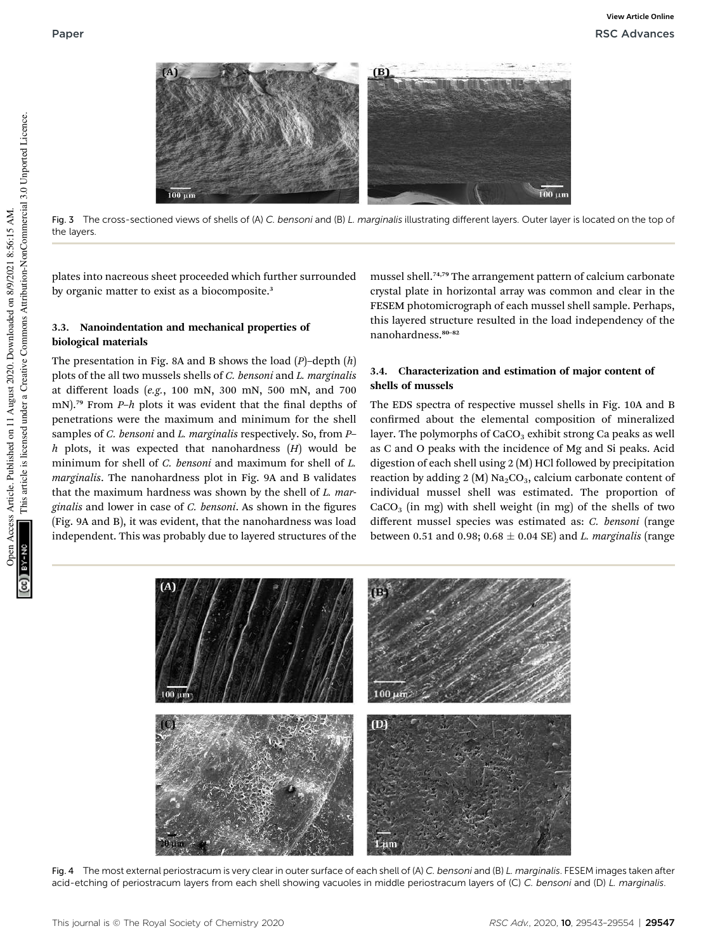

Fig. 3 The cross-sectioned views of shells of (A) C. bensoni and (B) L. marginalis illustrating different layers. Outer layer is located on the top of the layers.

plates into nacreous sheet proceeded which further surrounded by organic matter to exist as a biocomposite.<sup>3</sup>

### 3.3. Nanoindentation and mechanical properties of biological materials

The presentation in Fig. 8A and B shows the load (*P*)–depth (*h*) plots of the all two mussels shells of *C. bensoni* and *L. marginalis* at different loads (*e.g.*, 100 mN, 300 mN, 500 mN, and 700 mN).<sup>79</sup> From *P-h* plots it was evident that the final depths of penetrations were the maximum and minimum for the shell samples of *C. bensoni* and *L. marginalis* respectively. So, from *P*– *h* plots, it was expected that nanohardness (*H*) would be minimum for shell of *C. bensoni* and maximum for shell of *L. marginalis*. The nanohardness plot in Fig. 9A and B validates that the maximum hardness was shown by the shell of *L. marginalis* and lower in case of *C. bensoni*. As shown in the figures (Fig. 9A and B), it was evident, that the nanohardness was load independent. This was probably due to layered structures of the

mussel shell.74,79 The arrangement pattern of calcium carbonate crystal plate in horizontal array was common and clear in the FESEM photomicrograph of each mussel shell sample. Perhaps, this layered structure resulted in the load independency of the nanohardness.<sup>80-82</sup>

### 3.4. Characterization and estimation of major content of shells of mussels

The EDS spectra of respective mussel shells in Fig. 10A and B confirmed about the elemental composition of mineralized layer. The polymorphs of  $CaCO<sub>3</sub>$  exhibit strong Ca peaks as well as C and O peaks with the incidence of Mg and Si peaks. Acid digestion of each shell using 2 (M) HCl followed by precipitation reaction by adding 2 (M)  $Na<sub>2</sub>CO<sub>3</sub>$ , calcium carbonate content of individual mussel shell was estimated. The proportion of  $CaCO<sub>3</sub>$  (in mg) with shell weight (in mg) of the shells of two different mussel species was estimated as: *C. bensoni* (range between 0.51 and 0.98;  $0.68 \pm 0.04$  SE) and *L. marginalis* (range



Fig. 4 The most external periostracum is very clear in outer surface of each shell of (A) C. bensoni and (B) L. marginalis. FESEM images taken after acid-etching of periostracum layers from each shell showing vacuoles in middle periostracum layers of (C) C. bensoni and (D) L. marginalis.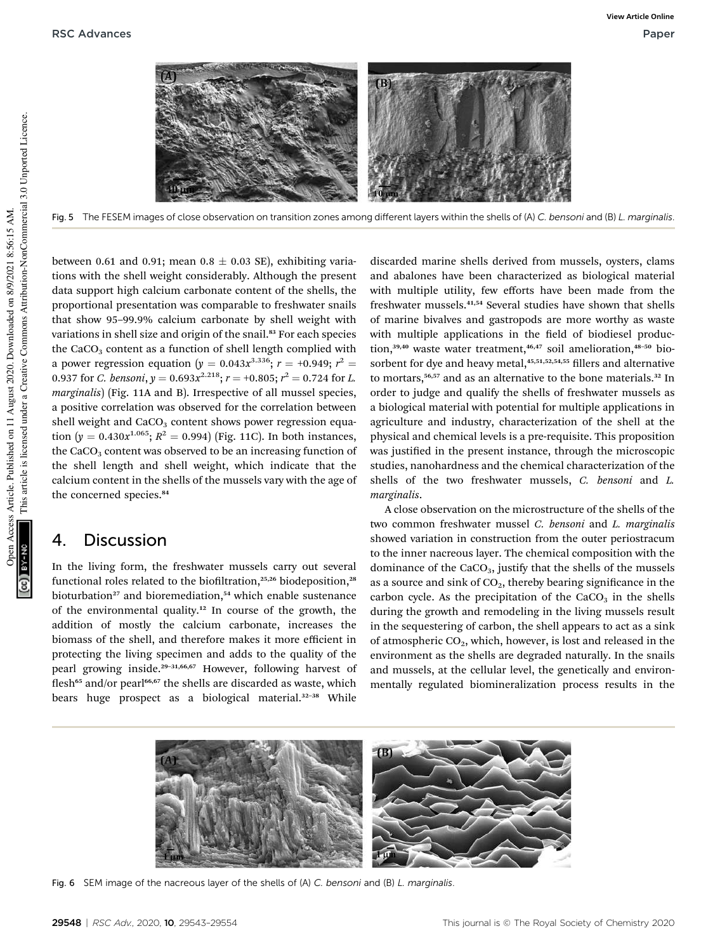

Fig. 5 The FESEM images of close observation on transition zones among different layers within the shells of (A) C. bensoni and (B) L. marginalis.

between 0.61 and 0.91; mean 0.8  $\pm$  0.03 SE), exhibiting variations with the shell weight considerably. Although the present data support high calcium carbonate content of the shells, the proportional presentation was comparable to freshwater snails that show 95–99.9% calcium carbonate by shell weight with variations in shell size and origin of the snail.<sup>83</sup> For each species the  $CaCO<sub>3</sub>$  content as a function of shell length complied with a power regression equation ( $y = 0.043x^{3.336}$ ;  $r = +0.949; r^2 =$ 0.937 for *C. bensoni, y* =  $0.693x^{2.218}$ ;  $r = +0.805; r^2 = 0.724$  for *L*. *marginalis*) (Fig. 11A and B). Irrespective of all mussel species, a positive correlation was observed for the correlation between shell weight and  $CaCO<sub>3</sub>$  content shows power regression equation  $(y = 0.430x^{1.065}; R^2 = 0.994)$  (Fig. 11C). In both instances, the  $CaCO<sub>3</sub>$  content was observed to be an increasing function of the shell length and shell weight, which indicate that the calcium content in the shells of the mussels vary with the age of the concerned species.<sup>84</sup>

### 4. Discussion

In the living form, the freshwater mussels carry out several functional roles related to the biofiltration,<sup>25,26</sup> biodeposition,<sup>28</sup> bioturbation<sup>27</sup> and bioremediation,<sup>54</sup> which enable sustenance of the environmental quality.<sup>12</sup> In course of the growth, the addition of mostly the calcium carbonate, increases the biomass of the shell, and therefore makes it more efficient in protecting the living specimen and adds to the quality of the pearl growing inside.<sup>29</sup>–31,66,67 However, following harvest of flesh<sup>65</sup> and/or pearl<sup>66,67</sup> the shells are discarded as waste, which bears huge prospect as a biological material.<sup>32-38</sup> While

discarded marine shells derived from mussels, oysters, clams and abalones have been characterized as biological material with multiple utility, few efforts have been made from the freshwater mussels.41,54 Several studies have shown that shells of marine bivalves and gastropods are more worthy as waste with multiple applications in the field of biodiesel production,<sup>39,40</sup> waste water treatment,<sup>46,47</sup> soil amelioration,<sup>48-50</sup> biosorbent for dye and heavy metal,<sup>45,51,52,54,55</sup> fillers and alternative to mortars,<sup>56,57</sup> and as an alternative to the bone materials.<sup>32</sup> In order to judge and qualify the shells of freshwater mussels as a biological material with potential for multiple applications in agriculture and industry, characterization of the shell at the physical and chemical levels is a pre-requisite. This proposition was justified in the present instance, through the microscopic studies, nanohardness and the chemical characterization of the shells of the two freshwater mussels, *C. bensoni* and *L. marginalis*.

A close observation on the microstructure of the shells of the two common freshwater mussel *C. bensoni* and *L. marginalis* showed variation in construction from the outer periostracum to the inner nacreous layer. The chemical composition with the dominance of the  $CaCO<sub>3</sub>$ , justify that the shells of the mussels as a source and sink of  $CO<sub>2</sub>$ , thereby bearing significance in the carbon cycle. As the precipitation of the  $CaCO<sub>3</sub>$  in the shells during the growth and remodeling in the living mussels result in the sequestering of carbon, the shell appears to act as a sink of atmospheric  $CO<sub>2</sub>$ , which, however, is lost and released in the environment as the shells are degraded naturally. In the snails and mussels, at the cellular level, the genetically and environmentally regulated biomineralization process results in the



Fig. 6 SEM image of the nacreous layer of the shells of (A) C. bensoni and (B) L. marginalis.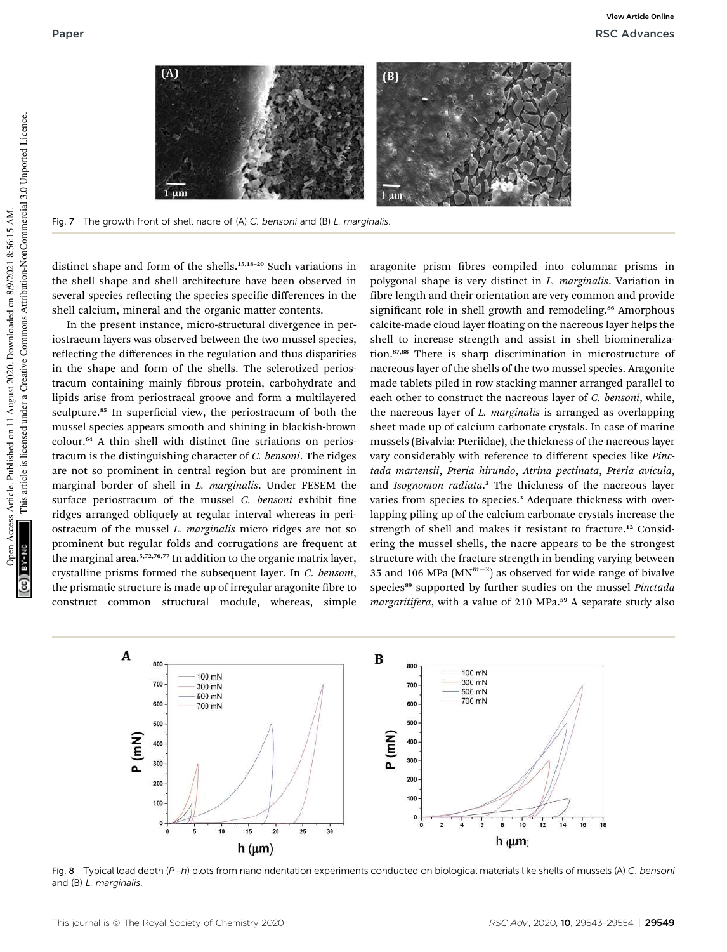

Fig. 7 The growth front of shell nacre of (A) C. bensoni and (B) L. marginalis.

distinct shape and form of the shells.<sup>15,18–20</sup> Such variations in the shell shape and shell architecture have been observed in several species reflecting the species specific differences in the shell calcium, mineral and the organic matter contents.

In the present instance, micro-structural divergence in periostracum layers was observed between the two mussel species, reflecting the differences in the regulation and thus disparities in the shape and form of the shells. The sclerotized periostracum containing mainly fibrous protein, carbohydrate and lipids arise from periostracal groove and form a multilayered sculpture.<sup>85</sup> In superficial view, the periostracum of both the mussel species appears smooth and shining in blackish-brown colour.<sup>64</sup> A thin shell with distinct fine striations on periostracum is the distinguishing character of *C. bensoni*. The ridges are not so prominent in central region but are prominent in marginal border of shell in *L. marginalis*. Under FESEM the surface periostracum of the mussel *C. bensoni* exhibit fine ridges arranged obliquely at regular interval whereas in periostracum of the mussel *L. marginalis* micro ridges are not so prominent but regular folds and corrugations are frequent at the marginal area.<sup>5,72,76,77</sup> In addition to the organic matrix layer, crystalline prisms formed the subsequent layer. In *C. bensoni*, the prismatic structure is made up of irregular aragonite fibre to construct common structural module, whereas, simple

aragonite prism fibres compiled into columnar prisms in polygonal shape is very distinct in *L. marginalis*. Variation in fibre length and their orientation are very common and provide significant role in shell growth and remodeling.<sup>86</sup> Amorphous calcite-made cloud layer floating on the nacreous layer helps the shell to increase strength and assist in shell biomineralization.87,88 There is sharp discrimination in microstructure of nacreous layer of the shells of the two mussel species. Aragonite made tablets piled in row stacking manner arranged parallel to each other to construct the nacreous layer of *C. bensoni*, while, the nacreous layer of *L. marginalis* is arranged as overlapping sheet made up of calcium carbonate crystals. In case of marine mussels (Bivalvia: Pteriidae), the thickness of the nacreous layer vary considerably with reference to different species like *Pinctada martensii*, *Pteria hirundo*, *Atrina pectinata*, *Pteria avicula*, and *Isognomon radiata*. <sup>3</sup> The thickness of the nacreous layer varies from species to species.<sup>3</sup> Adequate thickness with overlapping piling up of the calcium carbonate crystals increase the strength of shell and makes it resistant to fracture.<sup>12</sup> Considering the mussel shells, the nacre appears to be the strongest structure with the fracture strength in bending varying between 35 and 106 MPa  $(MN^{m-2})$  as observed for wide range of bivalve species<sup>89</sup> supported by further studies on the mussel *Pinctada* margaritifera, with a value of 210 MPa.<sup>59</sup> A separate study also



Fig. 8 Typical load depth (P-h) plots from nanoindentation experiments conducted on biological materials like shells of mussels (A) C. bensoni and (B) L. marginalis.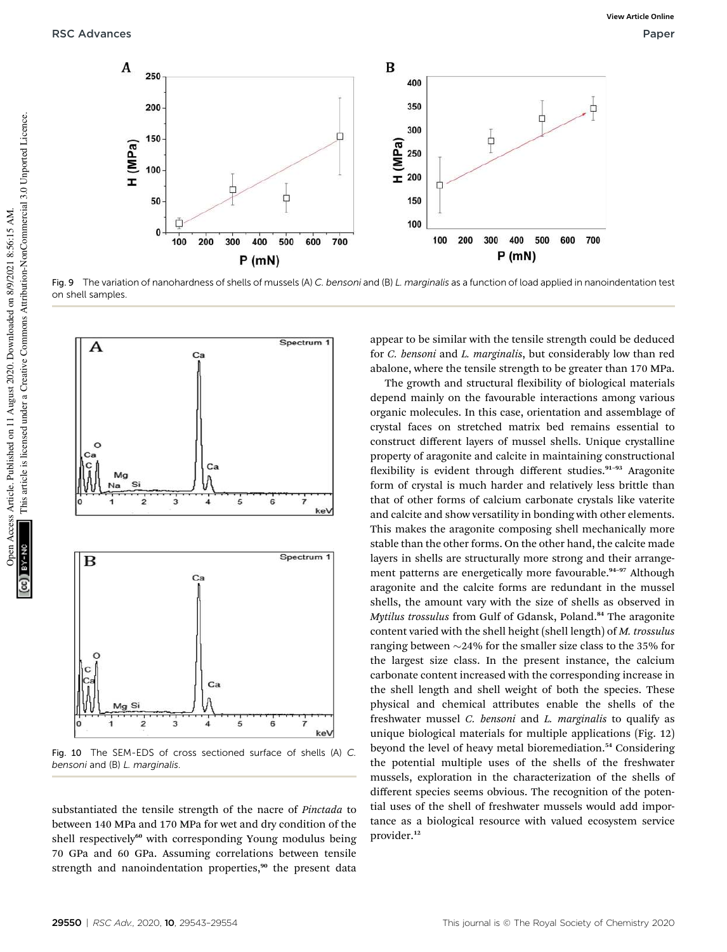

Fig. 9 The variation of nanohardness of shells of mussels (A) C. bensoni and (B) L. marginalis as a function of load applied in nanoindentation test on shell samples.



Fig. 10 The SEM-EDS of cross sectioned surface of shells (A) C. bensoni and (B) L. marginalis.

substantiated the tensile strength of the nacre of *Pinctada* to between 140 MPa and 170 MPa for wet and dry condition of the shell respectively<sup>60</sup> with corresponding Young modulus being 70 GPa and 60 GPa. Assuming correlations between tensile strength and nanoindentation properties,<sup>90</sup> the present data

appear to be similar with the tensile strength could be deduced for *C. bensoni* and *L. marginalis*, but considerably low than red abalone, where the tensile strength to be greater than 170 MPa.

The growth and structural flexibility of biological materials depend mainly on the favourable interactions among various organic molecules. In this case, orientation and assemblage of crystal faces on stretched matrix bed remains essential to construct different layers of mussel shells. Unique crystalline property of aragonite and calcite in maintaining constructional flexibility is evident through different studies.<sup>91-93</sup> Aragonite form of crystal is much harder and relatively less brittle than that of other forms of calcium carbonate crystals like vaterite and calcite and show versatility in bonding with other elements. This makes the aragonite composing shell mechanically more stable than the other forms. On the other hand, the calcite made layers in shells are structurally more strong and their arrangement patterns are energetically more favourable.<sup>94-97</sup> Although aragonite and the calcite forms are redundant in the mussel shells, the amount vary with the size of shells as observed in *Mytilus trossulus* from Gulf of Gdansk, Poland.<sup>84</sup> The aragonite content varied with the shell height (shell length) of *M. trossulus* ranging between  $\sim$ 24% for the smaller size class to the 35% for the largest size class. In the present instance, the calcium carbonate content increased with the corresponding increase in the shell length and shell weight of both the species. These physical and chemical attributes enable the shells of the freshwater mussel *C. bensoni* and *L. marginalis* to qualify as unique biological materials for multiple applications (Fig. 12) beyond the level of heavy metal bioremediation.<sup>54</sup> Considering the potential multiple uses of the shells of the freshwater mussels, exploration in the characterization of the shells of different species seems obvious. The recognition of the potential uses of the shell of freshwater mussels would add importance as a biological resource with valued ecosystem service provider.<sup>12</sup>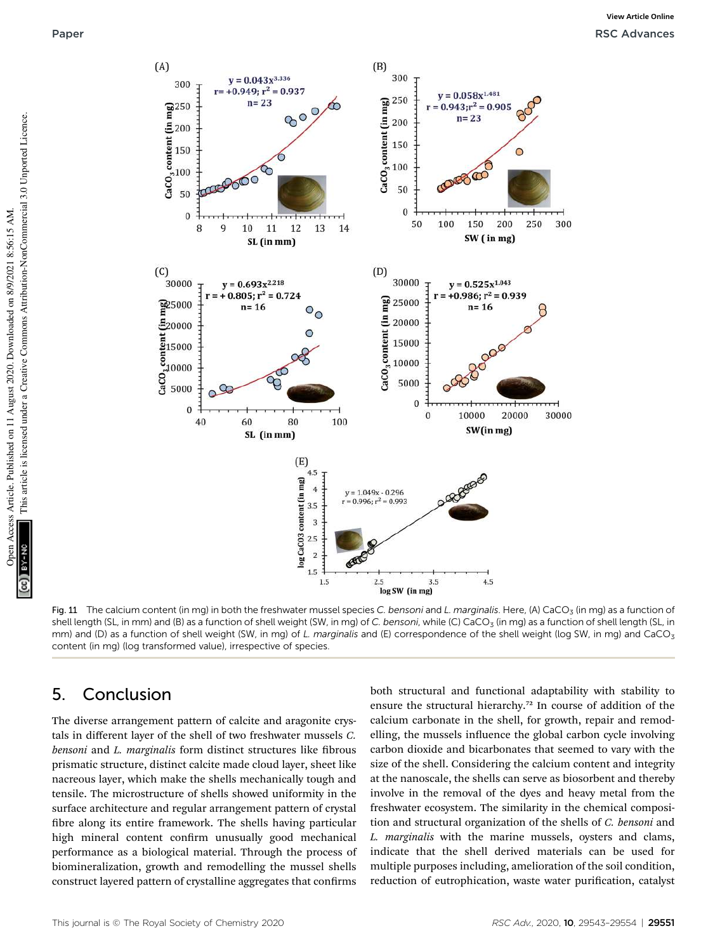



Fig. 11 The calcium content (in mg) in both the freshwater mussel species C. bensoni and L. marginalis. Here, (A) CaCO<sub>3</sub> (in mg) as a function of shell length (SL, in mm) and (B) as a function of shell weight (SW, in mg) of C. bensoni, while (C) CaCO<sub>3</sub> (in mg) as a function of shell length (SL, in mm) and (D) as a function of shell weight (SW, in mg) of L. marginalis and (E) correspondence of the shell weight (log SW, in mg) and CaCO<sub>3</sub> content (in mg) (log transformed value), irrespective of species.

## 5. Conclusion

The diverse arrangement pattern of calcite and aragonite crystals in different layer of the shell of two freshwater mussels *C. bensoni* and *L. marginalis* form distinct structures like fibrous prismatic structure, distinct calcite made cloud layer, sheet like nacreous layer, which make the shells mechanically tough and tensile. The microstructure of shells showed uniformity in the surface architecture and regular arrangement pattern of crystal fibre along its entire framework. The shells having particular high mineral content confirm unusually good mechanical performance as a biological material. Through the process of biomineralization, growth and remodelling the mussel shells construct layered pattern of crystalline aggregates that confirms

both structural and functional adaptability with stability to ensure the structural hierarchy.<sup>72</sup> In course of addition of the calcium carbonate in the shell, for growth, repair and remodelling, the mussels influence the global carbon cycle involving carbon dioxide and bicarbonates that seemed to vary with the size of the shell. Considering the calcium content and integrity at the nanoscale, the shells can serve as biosorbent and thereby involve in the removal of the dyes and heavy metal from the freshwater ecosystem. The similarity in the chemical composition and structural organization of the shells of *C. bensoni* and *L. marginalis* with the marine mussels, oysters and clams, indicate that the shell derived materials can be used for multiple purposes including, amelioration of the soil condition, reduction of eutrophication, waste water purification, catalyst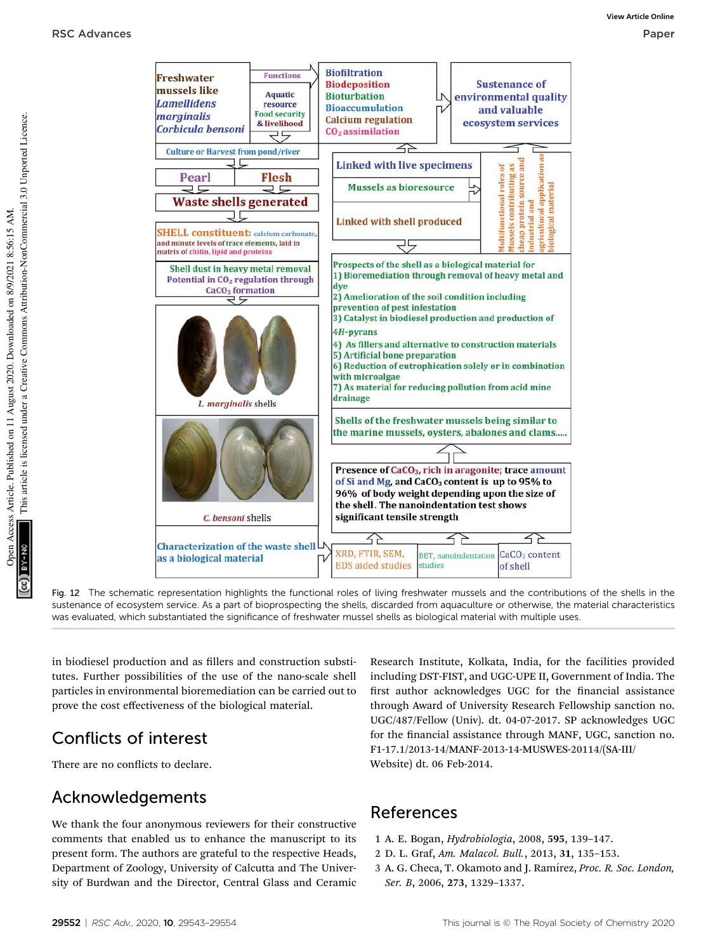

Fig. 12 The schematic representation highlights the functional roles of living freshwater mussels and the contributions of the shells in the sustenance of ecosystem service. As a part of bioprospecting the shells, discarded from aquaculture or otherwise, the material characteristics was evaluated, which substantiated the significance of freshwater mussel shells as biological material with multiple uses.

in biodiesel production and as fillers and construction substitutes. Further possibilities of the use of the nano-scale shell particles in environmental bioremediation can be carried out to prove the cost effectiveness of the biological material.

## Conflicts of interest

There are no conflicts to declare.

## Acknowledgements

We thank the four anonymous reviewers for their constructive comments that enabled us to enhance the manuscript to its present form. The authors are grateful to the respective Heads, Department of Zoology, University of Calcutta and The University of Burdwan and the Director, Central Glass and Ceramic

Research Institute, Kolkata, India, for the facilities provided including DST-FIST, and UGC-UPE II, Government of India. The first author acknowledges UGC for the financial assistance through Award of University Research Fellowship sanction no. UGC/487/Fellow (Univ). dt. 04-07-2017. SP acknowledges UGC for the financial assistance through MANF, UGC, sanction no. F1-17.1/2013-14/MANF-2013-14-MUSWES-20114/(SA-III/ Website) dt. 06 Feb-2014.

## References

- 1 A. E. Bogan, *Hydrobiologia*, 2008, 595, 139–147.
- 2 D. L. Graf, *Am. Malacol. Bull.*, 2013, 31, 135–153.
- 3 A. G. Checa, T. Okamoto and J. Ram´ırez, *Proc. R. Soc. London, Ser. B*, 2006, 273, 1329–1337.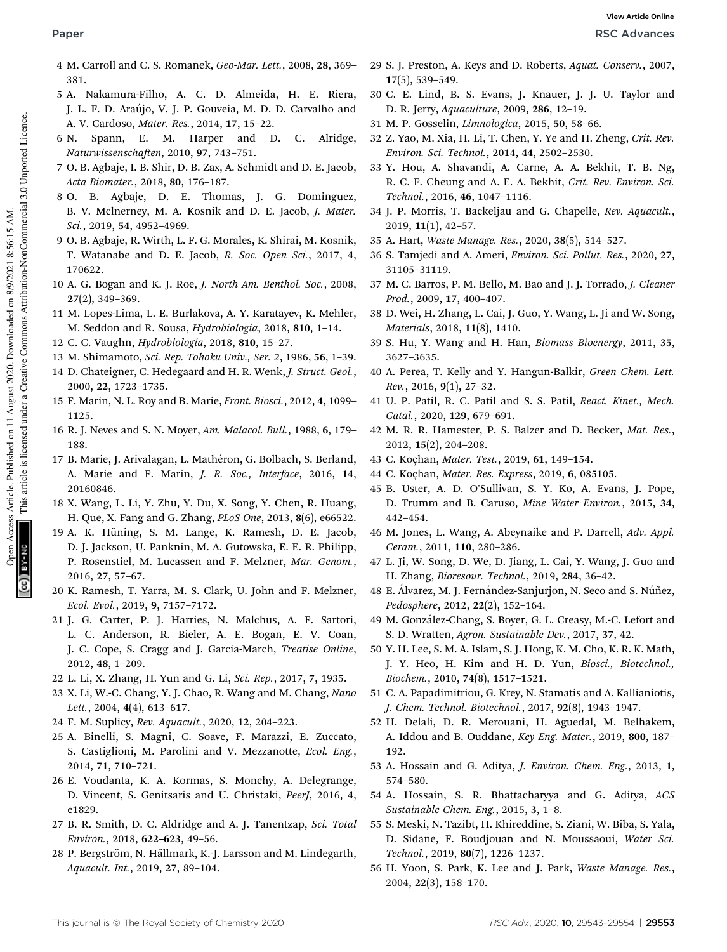- 4 M. Carroll and C. S. Romanek, *Geo-Mar. Lett.*, 2008, 28, 369– 381.
- 5 A. Nakamura-Filho, A. C. D. Almeida, H. E. Riera, J. L. F. D. Araújo, V. J. P. Gouveia, M. D. D. Carvalho and A. V. Cardoso, *Mater. Res.*, 2014, 17, 15–22.
- 6 N. Spann, E. M. Harper and D. C. Alridge, *Naturwissenschaen*, 2010, 97, 743–751.
- 7 O. B. Agbaje, I. B. Shir, D. B. Zax, A. Schmidt and D. E. Jacob, *Acta Biomater.*, 2018, 80, 176–187.
- 8 O. B. Agbaje, D. E. Thomas, J. G. Dominguez, B. V. Mclnerney, M. A. Kosnik and D. E. Jacob, *J. Mater. Sci.*, 2019, 54, 4952–4969.
- 9 O. B. Agbaje, R. Wirth, L. F. G. Morales, K. Shirai, M. Kosnik, T. Watanabe and D. E. Jacob, *R. Soc. Open Sci.*, 2017, 4, 170622.
- 10 A. G. Bogan and K. J. Roe, *J. North Am. Benthol. Soc.*, 2008, 27(2), 349–369.
- 11 M. Lopes-Lima, L. E. Burlakova, A. Y. Karatayev, K. Mehler, M. Seddon and R. Sousa, *Hydrobiologia*, 2018, 810, 1–14.
- 12 C. C. Vaughn, *Hydrobiologia*, 2018, 810, 15–27.
- 13 M. Shimamoto, *Sci. Rep. Tohoku Univ., Ser. 2*, 1986, 56, 1–39.
- 14 D. Chateigner, C. Hedegaard and H. R. Wenk, *J. Struct. Geol.*, 2000, 22, 1723–1735.
- 15 F. Marin, N. L. Roy and B. Marie, *Front. Biosci.*, 2012, 4, 1099– 1125.
- 16 R. J. Neves and S. N. Moyer, *Am. Malacol. Bull.*, 1988, 6, 179– 188.
- 17 B. Marie, J. Arivalagan, L. Mathéron, G. Bolbach, S. Berland, A. Marie and F. Marin, *J. R. Soc., Interface*, 2016, 14, 20160846.
- 18 X. Wang, L. Li, Y. Zhu, Y. Du, X. Song, Y. Chen, R. Huang, H. Que, X. Fang and G. Zhang, *PLoS One*, 2013, 8(6), e66522.
- 19 A. K. Hüning, S. M. Lange, K. Ramesh, D. E. Jacob, D. J. Jackson, U. Panknin, M. A. Gutowska, E. E. R. Philipp, P. Rosenstiel, M. Lucassen and F. Melzner, *Mar. Genom.*, 2016, 27, 57–67.
- 20 K. Ramesh, T. Yarra, M. S. Clark, U. John and F. Melzner, *Ecol. Evol.*, 2019, 9, 7157–7172.
- 21 J. G. Carter, P. J. Harries, N. Malchus, A. F. Sartori, L. C. Anderson, R. Bieler, A. E. Bogan, E. V. Coan, J. C. Cope, S. Cragg and J. Garcia-March, *Treatise Online*, 2012, 48, 1–209.
- 22 L. Li, X. Zhang, H. Yun and G. Li, *Sci. Rep.*, 2017, 7, 1935.
- 23 X. Li, W.-C. Chang, Y. J. Chao, R. Wang and M. Chang, *Nano Lett.*, 2004, 4(4), 613–617.
- 24 F. M. Suplicy, *Rev. Aquacult.*, 2020, 12, 204–223.
- 25 A. Binelli, S. Magni, C. Soave, F. Marazzi, E. Zuccato, S. Castiglioni, M. Parolini and V. Mezzanotte, *Ecol. Eng.*, 2014, 71, 710–721.
- 26 E. Voudanta, K. A. Kormas, S. Monchy, A. Delegrange, D. Vincent, S. Genitsaris and U. Christaki, *PeerJ*, 2016, 4, e1829.
- 27 B. R. Smith, D. C. Aldridge and A. J. Tanentzap, *Sci. Total Environ.*, 2018, 622–623, 49–56.
- 28 P. Bergström, N. Hällmark, K.-J. Larsson and M. Lindegarth, *Aquacult. Int.*, 2019, 27, 89–104.
- 29 S. J. Preston, A. Keys and D. Roberts, *Aquat. Conserv.*, 2007, 17(5), 539–549.
- 30 C. E. Lind, B. S. Evans, J. Knauer, J. J. U. Taylor and D. R. Jerry, *Aquaculture*, 2009, 286, 12–19.
- 31 M. P. Gosselin, *Limnologica*, 2015, 50, 58–66.
- 32 Z. Yao, M. Xia, H. Li, T. Chen, Y. Ye and H. Zheng, *Crit. Rev. Environ. Sci. Technol.*, 2014, 44, 2502–2530.
- 33 Y. Hou, A. Shavandi, A. Carne, A. A. Bekhit, T. B. Ng, R. C. F. Cheung and A. E. A. Bekhit, *Crit. Rev. Environ. Sci. Technol.*, 2016, 46, 1047–1116.
- 34 J. P. Morris, T. Backeljau and G. Chapelle, *Rev. Aquacult.*, 2019, 11(1), 42–57.
- 35 A. Hart, *Waste Manage. Res.*, 2020, 38(5), 514–527.
- 36 S. Tamjedi and A. Ameri, *Environ. Sci. Pollut. Res.*, 2020, 27, 31105–31119.
- 37 M. C. Barros, P. M. Bello, M. Bao and J. J. Torrado, *J. Cleaner Prod.*, 2009, 17, 400–407.
- 38 D. Wei, H. Zhang, L. Cai, J. Guo, Y. Wang, L. Ji and W. Song, *Materials*, 2018, 11(8), 1410.
- 39 S. Hu, Y. Wang and H. Han, *Biomass Bioenergy*, 2011, 35, 3627–3635.
- 40 A. Perea, T. Kelly and Y. Hangun-Balkir, *Green Chem. Lett. Rev.*, 2016, 9(1), 27–32.
- 41 U. P. Patil, R. C. Patil and S. S. Patil, *React. Kinet., Mech. Catal.*, 2020, 129, 679–691.
- 42 M. R. R. Hamester, P. S. Balzer and D. Becker, *Mat. Res.*, 2012, 15(2), 204–208.
- 43 C. Koçhan, *Mater. Test.*, 2019, 61, 149–154.
- 44 C. Koçhan, *Mater. Res. Express*, 2019, 6, 085105.
- 45 B. Uster, A. D. O'Sullivan, S. Y. Ko, A. Evans, J. Pope, D. Trumm and B. Caruso, *Mine Water Environ.*, 2015, 34, 442–454.
- 46 M. Jones, L. Wang, A. Abeynaike and P. Darrell, *Adv. Appl. Ceram.*, 2011, 110, 280–286.
- 47 L. Ji, W. Song, D. We, D. Jiang, L. Cai, Y. Wang, J. Guo and H. Zhang, *Bioresour. Technol.*, 2019, 284, 36–42.
- 48 E. Álvarez, M. J. Fernández-Sanjurjon, N. Seco and S. Núñez, *Pedosphere*, 2012, 22(2), 152–164.
- 49 M. González-Chang, S. Boyer, G. L. Creasy, M.-C. Lefort and S. D. Wratten, *Agron. Sustainable Dev.*, 2017, 37, 42.
- 50 Y. H. Lee, S. M. A. Islam, S. J. Hong, K. M. Cho, K. R. K. Math, J. Y. Heo, H. Kim and H. D. Yun, *Biosci., Biotechnol., Biochem.*, 2010, 74(8), 1517–1521.
- 51 C. A. Papadimitriou, G. Krey, N. Stamatis and A. Kallianiotis, *J. Chem. Technol. Biotechnol.*, 2017, 92(8), 1943–1947.
- 52 H. Delali, D. R. Merouani, H. Aguedal, M. Belhakem, A. Iddou and B. Ouddane, *Key Eng. Mater.*, 2019, 800, 187– 192.
- 53 A. Hossain and G. Aditya, *J. Environ. Chem. Eng.*, 2013, 1, 574–580.
- 54 A. Hossain, S. R. Bhattacharyya and G. Aditya, *ACS Sustainable Chem. Eng.*, 2015, 3, 1–8.
- 55 S. Meski, N. Tazibt, H. Khireddine, S. Ziani, W. Biba, S. Yala, D. Sidane, F. Boudjouan and N. Moussaoui, *Water Sci. Technol.*, 2019, 80(7), 1226–1237.
- 56 H. Yoon, S. Park, K. Lee and J. Park, *Waste Manage. Res.*, 2004, 22(3), 158–170.